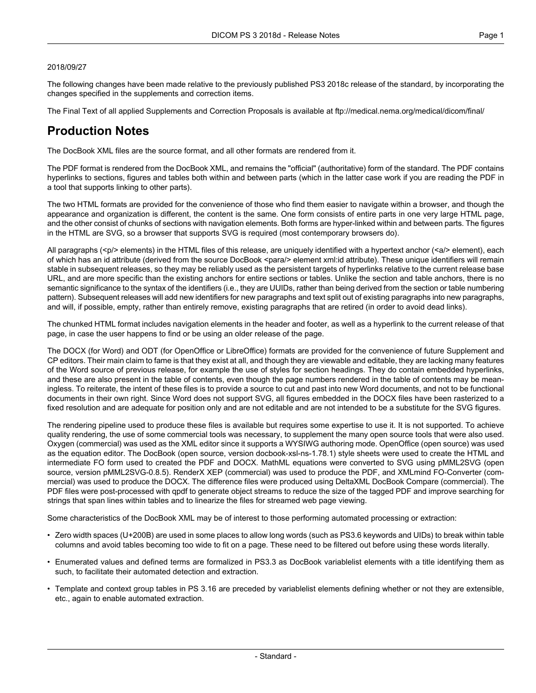#### 2018/09/27

The following changes have been made relative to the previously published PS3 2018c release of the standard, by incorporating the changes specified in the supplements and correction items.

The Final Text of all applied Supplements and Correction Proposals is available at <ftp://medical.nema.org/medical/dicom/final/>

## **Production Notes**

The DocBook XML files are the source format, and all other formats are rendered from it.

The PDF format is rendered from the DocBook XML, and remains the "official" (authoritative) form of the standard. The PDF contains hyperlinks to sections, figures and tables both within and between parts (which in the latter case work if you are reading the PDF in a tool that supports linking to other parts).

The two HTML formats are provided for the convenience of those who find them easier to navigate within a browser, and though the appearance and organization is different, the content is the same. One form consists of entire parts in one very large HTML page, and the other consist of chunks of sections with navigation elements. Both forms are hyper-linked within and between parts. The figures in the HTML are SVG, so a browser that supports SVG is required (most contemporary browsers do).

All paragraphs (<p/> elements) in the HTML files of this release, are uniquely identified with a hypertext anchor (<a/><a/>> element), each of which has an id attribute (derived from the source DocBook <para/> element xml:id attribute). These unique identifiers will remain stable in subsequent releases, so they may be reliably used as the persistent targets of hyperlinks relative to the current release base URL, and are more specific than the existing anchors for entire sections or tables. Unlike the section and table anchors, there is no semantic significance to the syntax of the identifiers (i.e., they are UUIDs, rather than being derived from the section or table numbering pattern). Subsequent releases will add new identifiers for new paragraphs and text split out of existing paragraphs into new paragraphs, and will, if possible, empty, rather than entirely remove, existing paragraphs that are retired (in order to avoid dead links).

The chunked HTML format includes navigation elements in the header and footer, as well as a hyperlink to the current release of that page, in case the user happens to find or be using an older release of the page.

The DOCX (for Word) and ODT (for OpenOffice or LibreOffice) formats are provided for the convenience of future Supplement and CP editors. Their main claim to fame is that they exist at all, and though they are viewable and editable, they are lacking many features of the Word source of previous release, for example the use of styles for section headings. They do contain embedded hyperlinks, and these are also present in the table of contents, even though the page numbers rendered in the table of contents may be mean ingless. To reiterate, the intent of these files is to provide a source to cut and past into new Word documents, and not to be functional documents in their own right. Since Word does not support SVG, all figures embedded in the DOCX files have been rasterized to a fixed resolution and are adequate for position only and are not editable and are not intended to be a substitute for the SVG figures.

The rendering pipeline used to produce these files is available but requires some expertise to use it. It is not supported. To achieve quality rendering, the use of some commercial tools was necessary, to supplement the many open source tools that were also used. Oxygen (commercial) was used as the XML editor since it supports a WYSIWG authoring mode. OpenOffice (open source) was used as the equation editor. The DocBook (open source, version docbook-xsl-ns-1.78.1) style sheets were used to create the HTML and intermediate FO form used to created the PDF and DOCX. MathML equations were converted to SVG using pMML2SVG (open source, version pMML2SVG-0.8.5). RenderX XEP (commercial) was used to produce the PDF, and XMLmind FO-Converter (com mercial) was used to produce the DOCX. The difference files were produced using DeltaXML DocBook Compare (commercial). The PDF files were post-processed with qpdf to generate object streams to reduce the size of the tagged PDF and improve searching for strings that span lines within tables and to linearize the files for streamed web page viewing.

Some characteristics of the DocBook XML may be of interest to those performing automated processing or extraction:

- Zero width spaces (U+200B) are used in some places to allow long words (such as PS3.6 keywords and UIDs) to break within table columns and avoid tables becoming too wide to fit on a page. These need to be filtered out before using these words literally.
- Enumerated values and defined terms are formalized in PS3.3 as DocBook variablelist elements with a title identifying them as such, to facilitate their automated detection and extraction.
- Template and context group tables in PS 3.16 are preceded by variablelist elements defining whether or not they are extensible, etc., again to enable automated extraction.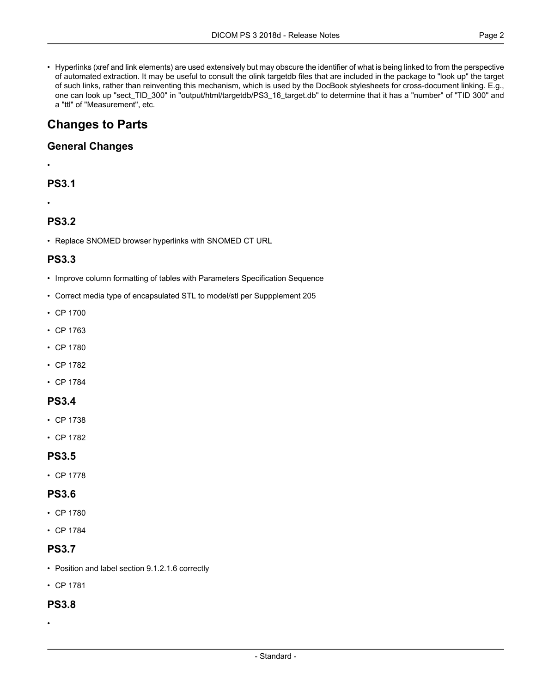• Hyperlinks (xref and link elements) are used extensively but may obscure the identifier of what is being linked to from the perspective of automated extraction. It may be useful to consult the olink targetdb files that are included in the package to "look up" the target of such links, rather than reinventing this mechanism, which is used by the DocBook stylesheets for cross-document linking. E.g., one can look up "sect\_TID\_300" in "output/html/targetdb/PS3\_16\_target.db" to determine that it has a "number" of "TID 300" and a "ttl" of "Measurement", etc.

# **Changes to Parts**

### **General Changes**

### **PS3.1**

#### •

•

### **PS3.2**

• Replace SNOMED browser hyperlinks with SNOMED CT URL

### **PS3.3**

- Improve column formatting of tables with Parameters Specification Sequence
- Correct media type of encapsulated STL to model/stl per Suppplement 205
- CP [1700](#page-2-0)
- CP [1763](#page-3-0)
- CP [1780](#page-3-1)
- CP [1782](#page-3-2)
- CP [1784](#page-3-3)

#### **PS3.4**

- CP [1738](#page-3-4)
- CP [1782](#page-3-2)

### **PS3.5**

• CP [1778](#page-3-5)

### **PS3.6**

- CP [1780](#page-3-1)
- CP [1784](#page-3-3)

### **PS3.7**

- Position and label section 9.1.2.1.6 correctly
- CP [1781](#page-3-6)

#### **PS3.8**

•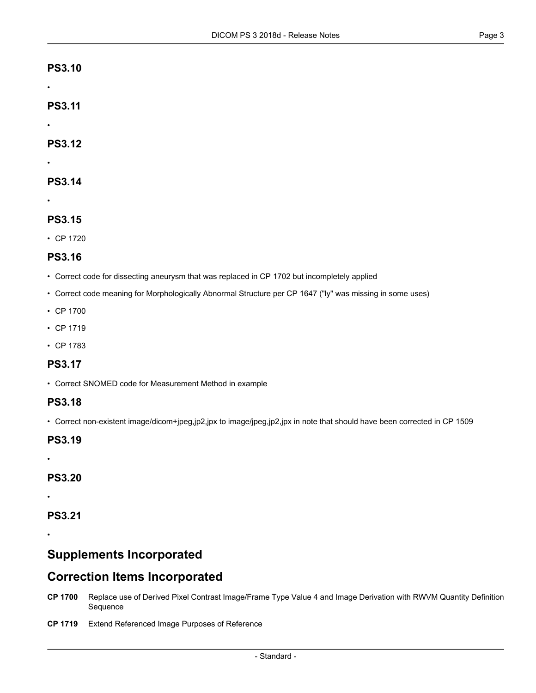#### **PS3.10**

•

•

•

**PS3.11**

**PS3.12**

### **PS3.14**

•

### **PS3.15**

• CP [1720](#page-3-7)

### **PS3.16**

- Correct code for dissecting aneurysm that was replaced in CP 1702 but incompletely applied
- Correct code meaning for Morphologically Abnormal Structure per CP 1647 ("ly" was missing in some uses)
- CP [1700](#page-2-0)
- CP [1719](#page-2-1)
- CP [1783](#page-3-8)

### **PS3.17**

• Correct SNOMED code for Measurement Method in example

### **PS3.18**

• Correct non-existent image/dicom+jpeg,jp2,jpx to image/jpeg,jp2,jpx in note that should have been corrected in CP 1509

### **PS3.19**

### **PS3.20**

•

•

### **PS3.21**

<span id="page-2-0"></span>•

## <span id="page-2-1"></span>**Supplements Incorporated**

### **Correction Items Incorporated**

- **CP [1700](ftp://medical.nema.org/medical/dicom/final/cp1700_ft_replacederivedpixelcontrastwithquantity.pdf)** Replace use of Derived Pixel Contrast Image/Frame Type Value 4 and Image Derivation with RWVM Quantity Definition Sequence
- **CP [1719](ftp://medical.nema.org/medical/dicom/final/cp1719_ft_ExtendReferencedImagePurposesOfReference.pdf)** Extend Referenced Image Purposes of Reference